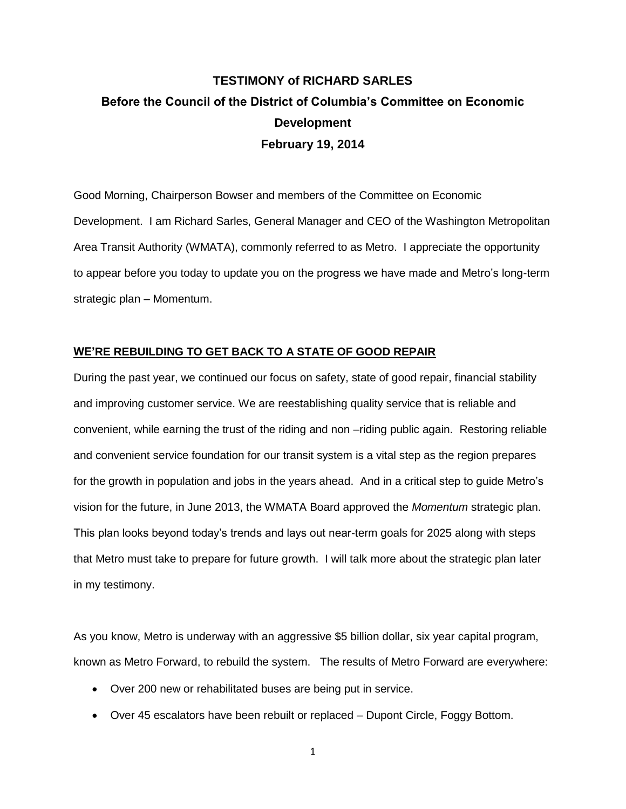# **TESTIMONY of RICHARD SARLES Before the Council of the District of Columbia's Committee on Economic Development February 19, 2014**

Good Morning, Chairperson Bowser and members of the Committee on Economic Development. I am Richard Sarles, General Manager and CEO of the Washington Metropolitan Area Transit Authority (WMATA), commonly referred to as Metro. I appreciate the opportunity to appear before you today to update you on the progress we have made and Metro's long-term strategic plan – Momentum.

## **WE'RE REBUILDING TO GET BACK TO A STATE OF GOOD REPAIR**

During the past year, we continued our focus on safety, state of good repair, financial stability and improving customer service. We are reestablishing quality service that is reliable and convenient, while earning the trust of the riding and non –riding public again. Restoring reliable and convenient service foundation for our transit system is a vital step as the region prepares for the growth in population and jobs in the years ahead. And in a critical step to guide Metro's vision for the future, in June 2013, the WMATA Board approved the *Momentum* strategic plan. This plan looks beyond today's trends and lays out near-term goals for 2025 along with steps that Metro must take to prepare for future growth. I will talk more about the strategic plan later in my testimony.

As you know, Metro is underway with an aggressive \$5 billion dollar, six year capital program, known as Metro Forward, to rebuild the system. The results of Metro Forward are everywhere:

- Over 200 new or rehabilitated buses are being put in service.
- Over 45 escalators have been rebuilt or replaced Dupont Circle, Foggy Bottom.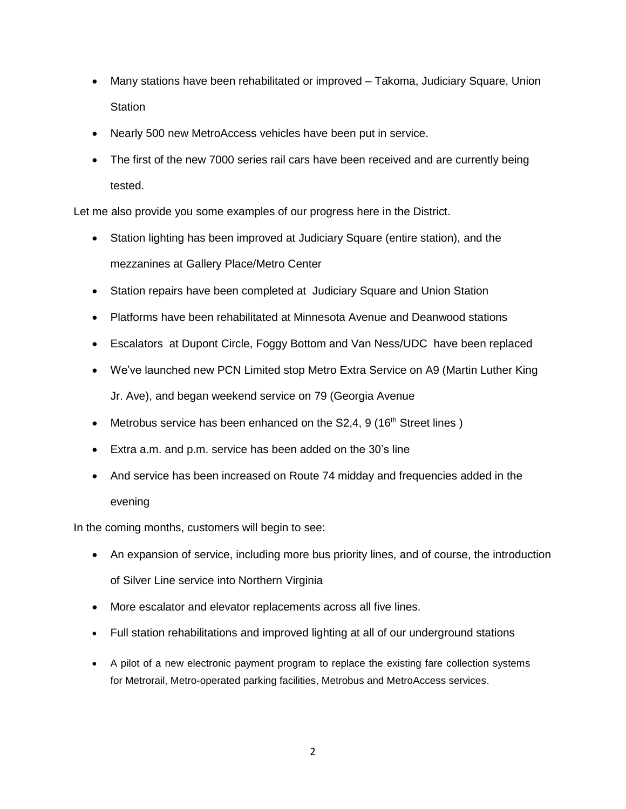- Many stations have been rehabilitated or improved Takoma, Judiciary Square, Union **Station**
- Nearly 500 new MetroAccess vehicles have been put in service.
- The first of the new 7000 series rail cars have been received and are currently being tested.

Let me also provide you some examples of our progress here in the District.

- Station lighting has been improved at Judiciary Square (entire station), and the mezzanines at Gallery Place/Metro Center
- Station repairs have been completed at Judiciary Square and Union Station
- Platforms have been rehabilitated at Minnesota Avenue and Deanwood stations
- Escalators at Dupont Circle, Foggy Bottom and Van Ness/UDC have been replaced
- We've launched new PCN Limited stop Metro Extra Service on A9 (Martin Luther King Jr. Ave), and began weekend service on 79 (Georgia Avenue
- Metrobus service has been enhanced on the  $S2,4, 9$  (16<sup>th</sup> Street lines)
- Extra a.m. and p.m. service has been added on the 30's line
- And service has been increased on Route 74 midday and frequencies added in the evening

In the coming months, customers will begin to see:

- An expansion of service, including more bus priority lines, and of course, the introduction of Silver Line service into Northern Virginia
- More escalator and elevator replacements across all five lines.
- Full station rehabilitations and improved lighting at all of our underground stations
- A pilot of a new electronic payment program to replace the existing fare collection systems for Metrorail, Metro-operated parking facilities, Metrobus and MetroAccess services.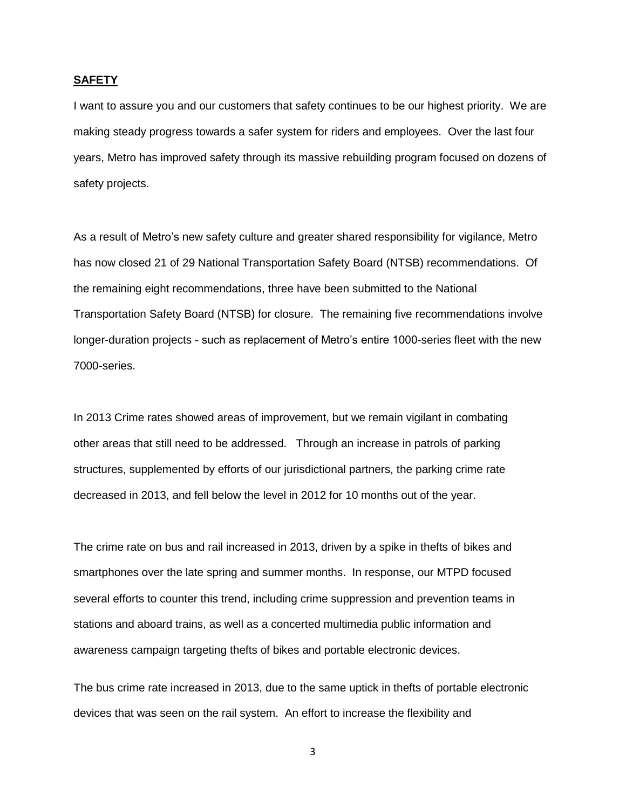#### **SAFETY**

I want to assure you and our customers that safety continues to be our highest priority. We are making steady progress towards a safer system for riders and employees. Over the last four years, Metro has improved safety through its massive rebuilding program focused on dozens of safety projects.

As a result of Metro's new safety culture and greater shared responsibility for vigilance, Metro has now closed 21 of 29 National Transportation Safety Board (NTSB) recommendations. Of the remaining eight recommendations, three have been submitted to the National Transportation Safety Board (NTSB) for closure. The remaining five recommendations involve longer-duration projects - such as replacement of Metro's entire 1000-series fleet with the new 7000-series.

In 2013 Crime rates showed areas of improvement, but we remain vigilant in combating other areas that still need to be addressed. Through an increase in patrols of parking structures, supplemented by efforts of our jurisdictional partners, the parking crime rate decreased in 2013, and fell below the level in 2012 for 10 months out of the year.

The crime rate on bus and rail increased in 2013, driven by a spike in thefts of bikes and smartphones over the late spring and summer months. In response, our MTPD focused several efforts to counter this trend, including crime suppression and prevention teams in stations and aboard trains, as well as a concerted multimedia public information and awareness campaign targeting thefts of bikes and portable electronic devices.

The bus crime rate increased in 2013, due to the same uptick in thefts of portable electronic devices that was seen on the rail system. An effort to increase the flexibility and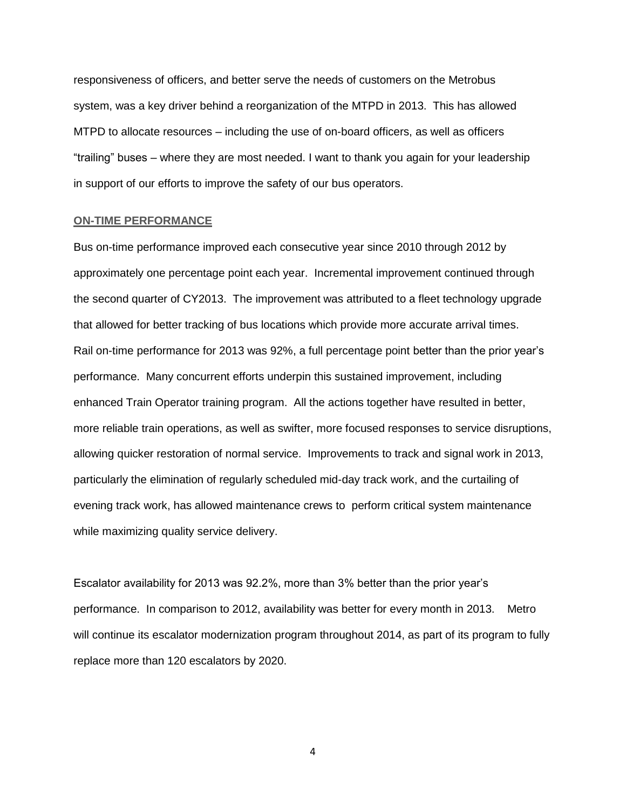responsiveness of officers, and better serve the needs of customers on the Metrobus system, was a key driver behind a reorganization of the MTPD in 2013. This has allowed MTPD to allocate resources – including the use of on-board officers, as well as officers "trailing" buses – where they are most needed. I want to thank you again for your leadership in support of our efforts to improve the safety of our bus operators.

#### **ON-TIME PERFORMANCE**

Bus on-time performance improved each consecutive year since 2010 through 2012 by approximately one percentage point each year. Incremental improvement continued through the second quarter of CY2013. The improvement was attributed to a fleet technology upgrade that allowed for better tracking of bus locations which provide more accurate arrival times. Rail on-time performance for 2013 was 92%, a full percentage point better than the prior year's performance. Many concurrent efforts underpin this sustained improvement, including enhanced Train Operator training program. All the actions together have resulted in better, more reliable train operations, as well as swifter, more focused responses to service disruptions, allowing quicker restoration of normal service. Improvements to track and signal work in 2013, particularly the elimination of regularly scheduled mid-day track work, and the curtailing of evening track work, has allowed maintenance crews to perform critical system maintenance while maximizing quality service delivery.

Escalator availability for 2013 was 92.2%, more than 3% better than the prior year's performance. In comparison to 2012, availability was better for every month in 2013. Metro will continue its escalator modernization program throughout 2014, as part of its program to fully replace more than 120 escalators by 2020.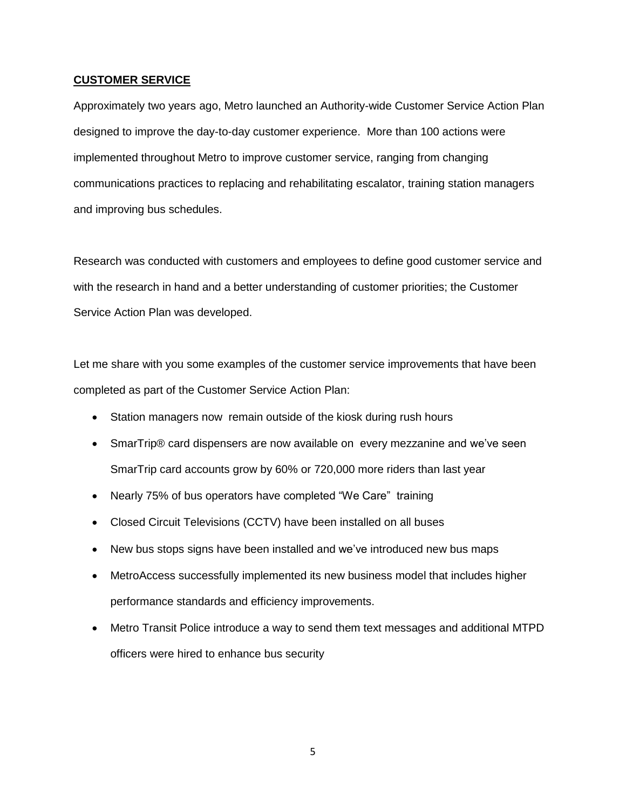### **CUSTOMER SERVICE**

Approximately two years ago, Metro launched an Authority-wide Customer Service Action Plan designed to improve the day-to-day customer experience. More than 100 actions were implemented throughout Metro to improve customer service, ranging from changing communications practices to replacing and rehabilitating escalator, training station managers and improving bus schedules.

Research was conducted with customers and employees to define good customer service and with the research in hand and a better understanding of customer priorities; the Customer Service Action Plan was developed.

Let me share with you some examples of the customer service improvements that have been completed as part of the Customer Service Action Plan:

- Station managers now remain outside of the kiosk during rush hours
- SmarTrip® card dispensers are now available on every mezzanine and we've seen SmarTrip card accounts grow by 60% or 720,000 more riders than last year
- Nearly 75% of bus operators have completed "We Care" training
- Closed Circuit Televisions (CCTV) have been installed on all buses
- New bus stops signs have been installed and we've introduced new bus maps
- MetroAccess successfully implemented its new business model that includes higher performance standards and efficiency improvements.
- Metro Transit Police introduce a way to send them text messages and additional MTPD officers were hired to enhance bus security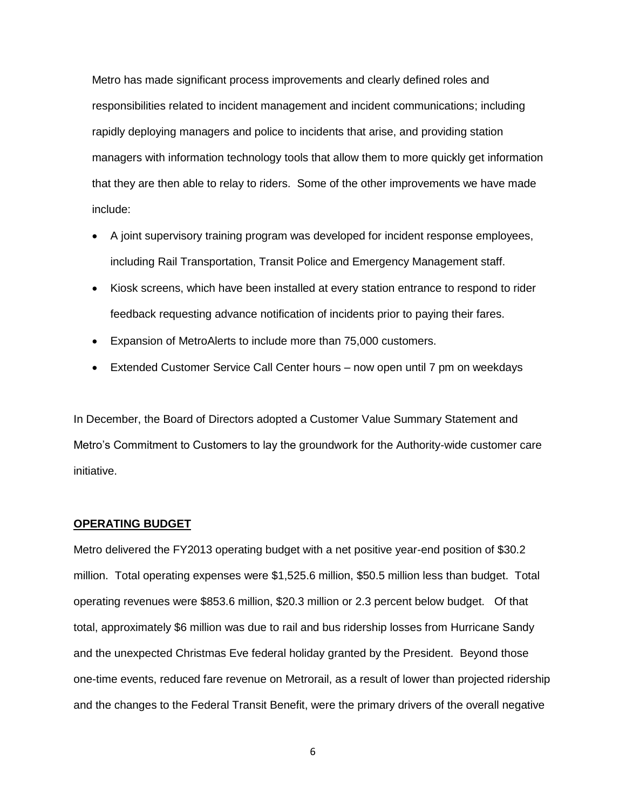Metro has made significant process improvements and clearly defined roles and responsibilities related to incident management and incident communications; including rapidly deploying managers and police to incidents that arise, and providing station managers with information technology tools that allow them to more quickly get information that they are then able to relay to riders. Some of the other improvements we have made include:

- A joint supervisory training program was developed for incident response employees, including Rail Transportation, Transit Police and Emergency Management staff.
- Kiosk screens, which have been installed at every station entrance to respond to rider feedback requesting advance notification of incidents prior to paying their fares.
- Expansion of MetroAlerts to include more than 75,000 customers.
- Extended Customer Service Call Center hours now open until 7 pm on weekdays

In December, the Board of Directors adopted a Customer Value Summary Statement and Metro's Commitment to Customers to lay the groundwork for the Authority-wide customer care initiative.

#### **OPERATING BUDGET**

Metro delivered the FY2013 operating budget with a net positive year-end position of \$30.2 million. Total operating expenses were \$1,525.6 million, \$50.5 million less than budget. Total operating revenues were \$853.6 million, \$20.3 million or 2.3 percent below budget. Of that total, approximately \$6 million was due to rail and bus ridership losses from Hurricane Sandy and the unexpected Christmas Eve federal holiday granted by the President. Beyond those one-time events, reduced fare revenue on Metrorail, as a result of lower than projected ridership and the changes to the Federal Transit Benefit, were the primary drivers of the overall negative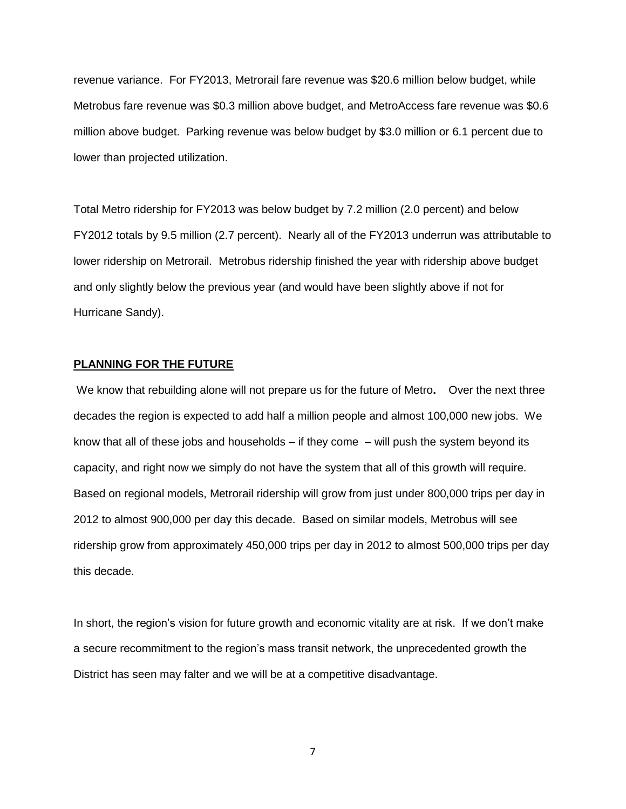revenue variance. For FY2013, Metrorail fare revenue was \$20.6 million below budget, while Metrobus fare revenue was \$0.3 million above budget, and MetroAccess fare revenue was \$0.6 million above budget. Parking revenue was below budget by \$3.0 million or 6.1 percent due to lower than projected utilization.

Total Metro ridership for FY2013 was below budget by 7.2 million (2.0 percent) and below FY2012 totals by 9.5 million (2.7 percent). Nearly all of the FY2013 underrun was attributable to lower ridership on Metrorail. Metrobus ridership finished the year with ridership above budget and only slightly below the previous year (and would have been slightly above if not for Hurricane Sandy).

#### **PLANNING FOR THE FUTURE**

We know that rebuilding alone will not prepare us for the future of Metro**.** Over the next three decades the region is expected to add half a million people and almost 100,000 new jobs. We know that all of these jobs and households  $-$  if they come  $-$  will push the system beyond its capacity, and right now we simply do not have the system that all of this growth will require. Based on regional models, Metrorail ridership will grow from just under 800,000 trips per day in 2012 to almost 900,000 per day this decade. Based on similar models, Metrobus will see ridership grow from approximately 450,000 trips per day in 2012 to almost 500,000 trips per day this decade.

In short, the region's vision for future growth and economic vitality are at risk. If we don't make a secure recommitment to the region's mass transit network, the unprecedented growth the District has seen may falter and we will be at a competitive disadvantage.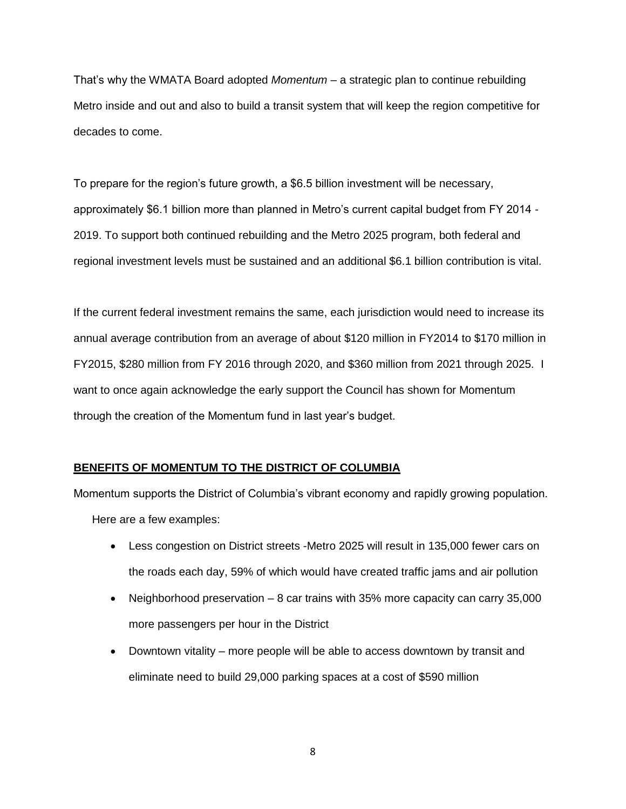That's why the WMATA Board adopted *Momentum –* a strategic plan to continue rebuilding Metro inside and out and also to build a transit system that will keep the region competitive for decades to come.

To prepare for the region's future growth, a \$6.5 billion investment will be necessary, approximately \$6.1 billion more than planned in Metro's current capital budget from FY 2014 - 2019. To support both continued rebuilding and the Metro 2025 program, both federal and regional investment levels must be sustained and an additional \$6.1 billion contribution is vital.

If the current federal investment remains the same, each jurisdiction would need to increase its annual average contribution from an average of about \$120 million in FY2014 to \$170 million in FY2015, \$280 million from FY 2016 through 2020, and \$360 million from 2021 through 2025. I want to once again acknowledge the early support the Council has shown for Momentum through the creation of the Momentum fund in last year's budget.

### **BENEFITS OF MOMENTUM TO THE DISTRICT OF COLUMBIA**

Momentum supports the District of Columbia's vibrant economy and rapidly growing population. Here are a few examples:

- Less congestion on District streets -Metro 2025 will result in 135,000 fewer cars on the roads each day, 59% of which would have created traffic jams and air pollution
- Neighborhood preservation 8 car trains with 35% more capacity can carry 35,000 more passengers per hour in the District
- Downtown vitality more people will be able to access downtown by transit and eliminate need to build 29,000 parking spaces at a cost of \$590 million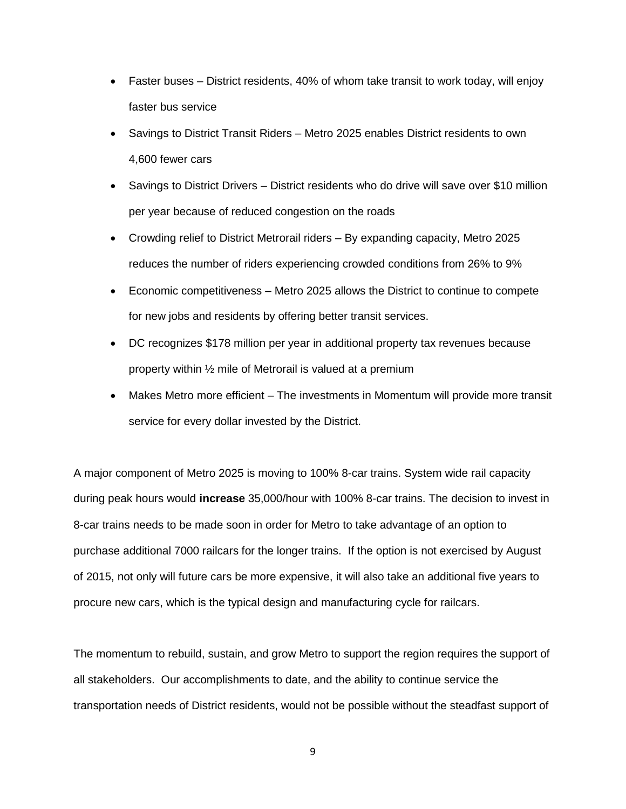- Faster buses District residents, 40% of whom take transit to work today, will enjoy faster bus service
- Savings to District Transit Riders Metro 2025 enables District residents to own 4,600 fewer cars
- Savings to District Drivers District residents who do drive will save over \$10 million per year because of reduced congestion on the roads
- Crowding relief to District Metrorail riders By expanding capacity, Metro 2025 reduces the number of riders experiencing crowded conditions from 26% to 9%
- Economic competitiveness Metro 2025 allows the District to continue to compete for new jobs and residents by offering better transit services.
- DC recognizes \$178 million per year in additional property tax revenues because property within ½ mile of Metrorail is valued at a premium
- Makes Metro more efficient The investments in Momentum will provide more transit service for every dollar invested by the District.

A major component of Metro 2025 is moving to 100% 8-car trains. System wide rail capacity during peak hours would **increase** 35,000/hour with 100% 8-car trains. The decision to invest in 8-car trains needs to be made soon in order for Metro to take advantage of an option to purchase additional 7000 railcars for the longer trains. If the option is not exercised by August of 2015, not only will future cars be more expensive, it will also take an additional five years to procure new cars, which is the typical design and manufacturing cycle for railcars.

The momentum to rebuild, sustain, and grow Metro to support the region requires the support of all stakeholders. Our accomplishments to date, and the ability to continue service the transportation needs of District residents, would not be possible without the steadfast support of